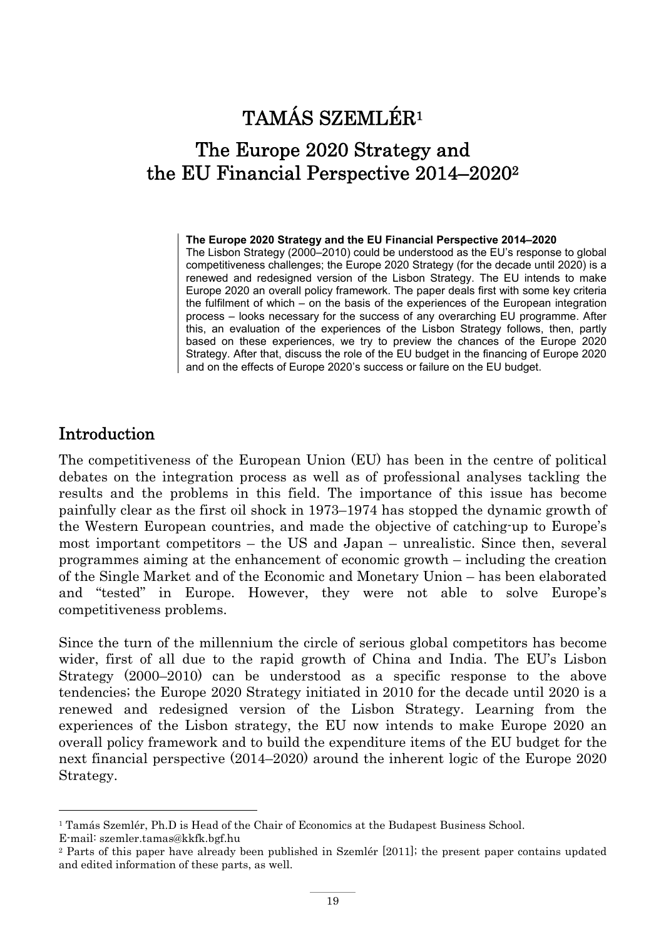# TAMÁS SZEMLÉR1

## The Europe 2020 Strategy and the EU Financial Perspective 2014–20202

#### **The Europe 2020 Strategy and the EU Financial Perspective 2014–2020**

The Lisbon Strategy (2000–2010) could be understood as the EU's response to global competitiveness challenges; the Europe 2020 Strategy (for the decade until 2020) is a renewed and redesigned version of the Lisbon Strategy. The EU intends to make Europe 2020 an overall policy framework. The paper deals first with some key criteria the fulfilment of which – on the basis of the experiences of the European integration process – looks necessary for the success of any overarching EU programme. After this, an evaluation of the experiences of the Lisbon Strategy follows, then, partly based on these experiences, we try to preview the chances of the Europe 2020 Strategy. After that, discuss the role of the EU budget in the financing of Europe 2020 and on the effects of Europe 2020's success or failure on the EU budget.

### Introduction

The competitiveness of the European Union (EU) has been in the centre of political debates on the integration process as well as of professional analyses tackling the results and the problems in this field. The importance of this issue has become painfully clear as the first oil shock in 1973–1974 has stopped the dynamic growth of the Western European countries, and made the objective of catching-up to Europe's most important competitors – the US and Japan – unrealistic. Since then, several programmes aiming at the enhancement of economic growth – including the creation of the Single Market and of the Economic and Monetary Union – has been elaborated and "tested" in Europe. However, they were not able to solve Europe's competitiveness problems.

Since the turn of the millennium the circle of serious global competitors has become wider, first of all due to the rapid growth of China and India. The EU's Lisbon Strategy (2000–2010) can be understood as a specific response to the above tendencies; the Europe 2020 Strategy initiated in 2010 for the decade until 2020 is a renewed and redesigned version of the Lisbon Strategy. Learning from the experiences of the Lisbon strategy, the EU now intends to make Europe 2020 an overall policy framework and to build the expenditure items of the EU budget for the next financial perspective (2014–2020) around the inherent logic of the Europe 2020 Strategy.

<sup>&</sup>lt;sup>1</sup> Tamás Szemlér, Ph.D is Head of the Chair of Economics at the Budapest Business School.

E-mail: szemler.tamas@kkfk.bgf.hu

<sup>2</sup> Parts of this paper have already been published in Szemlér [2011]; the present paper contains updated and edited information of these parts, as well.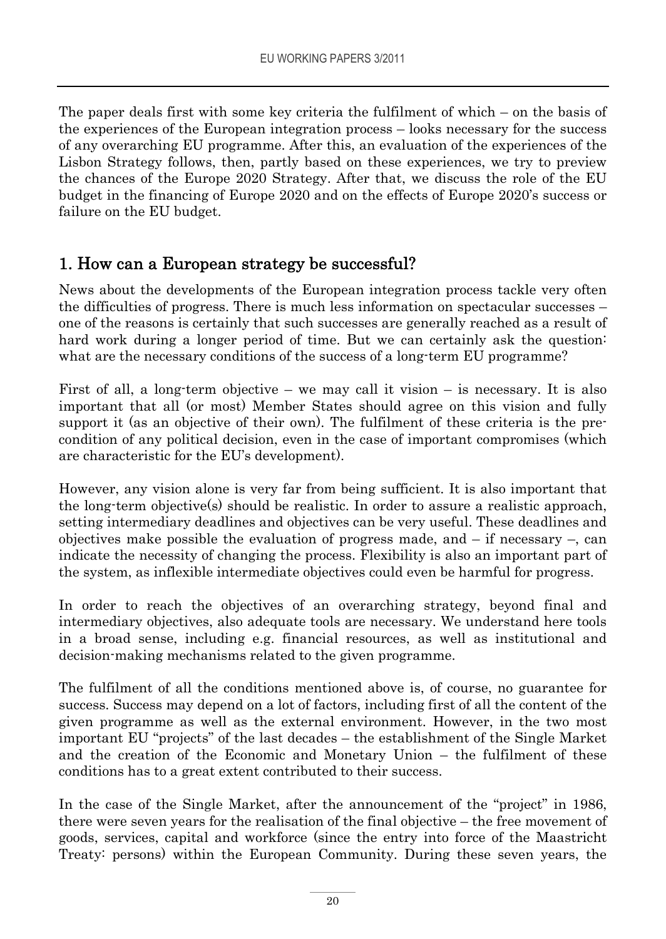The paper deals first with some key criteria the fulfilment of which – on the basis of the experiences of the European integration process – looks necessary for the success of any overarching EU programme. After this, an evaluation of the experiences of the Lisbon Strategy follows, then, partly based on these experiences, we try to preview the chances of the Europe 2020 Strategy. After that, we discuss the role of the EU budget in the financing of Europe 2020 and on the effects of Europe 2020's success or failure on the EU budget.

### 1. How can a European strategy be successful?

News about the developments of the European integration process tackle very often the difficulties of progress. There is much less information on spectacular successes – one of the reasons is certainly that such successes are generally reached as a result of hard work during a longer period of time. But we can certainly ask the question: what are the necessary conditions of the success of a long-term EU programme?

First of all, a long-term objective – we may call it vision – is necessary. It is also important that all (or most) Member States should agree on this vision and fully support it (as an objective of their own). The fulfilment of these criteria is the precondition of any political decision, even in the case of important compromises (which are characteristic for the EU's development).

However, any vision alone is very far from being sufficient. It is also important that the long-term objective(s) should be realistic. In order to assure a realistic approach, setting intermediary deadlines and objectives can be very useful. These deadlines and objectives make possible the evaluation of progress made, and  $-$  if necessary  $-$ , can indicate the necessity of changing the process. Flexibility is also an important part of the system, as inflexible intermediate objectives could even be harmful for progress.

In order to reach the objectives of an overarching strategy, beyond final and intermediary objectives, also adequate tools are necessary. We understand here tools in a broad sense, including e.g. financial resources, as well as institutional and decision-making mechanisms related to the given programme.

The fulfilment of all the conditions mentioned above is, of course, no guarantee for success. Success may depend on a lot of factors, including first of all the content of the given programme as well as the external environment. However, in the two most important EU "projects" of the last decades – the establishment of the Single Market and the creation of the Economic and Monetary Union – the fulfilment of these conditions has to a great extent contributed to their success.

In the case of the Single Market, after the announcement of the "project" in 1986, there were seven years for the realisation of the final objective – the free movement of goods, services, capital and workforce (since the entry into force of the Maastricht Treaty: persons) within the European Community. During these seven years, the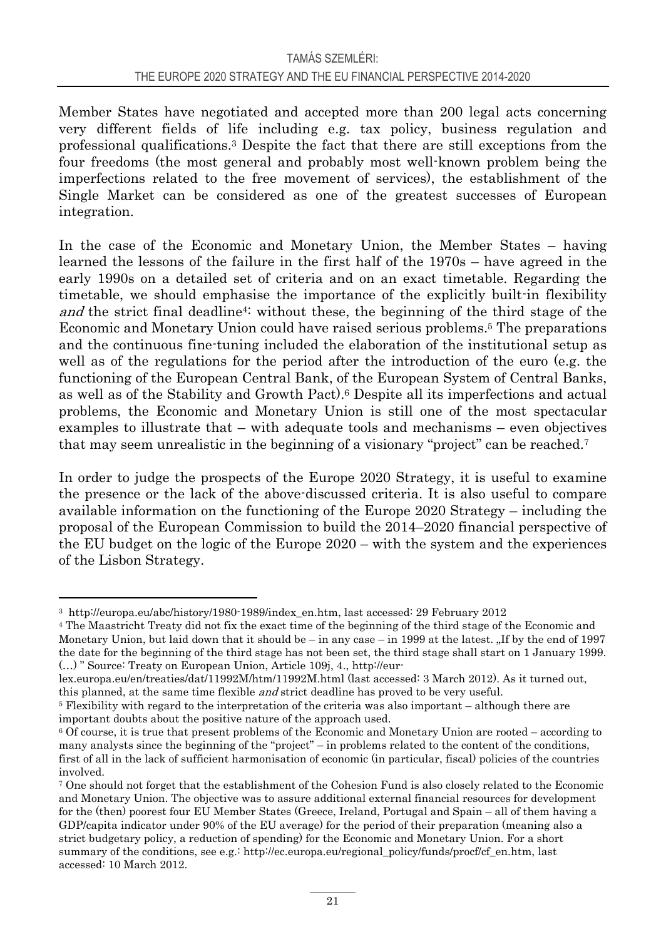Member States have negotiated and accepted more than 200 legal acts concerning very different fields of life including e.g. tax policy, business regulation and professional qualifications.3 Despite the fact that there are still exceptions from the four freedoms (the most general and probably most well-known problem being the imperfections related to the free movement of services), the establishment of the Single Market can be considered as one of the greatest successes of European integration.

In the case of the Economic and Monetary Union, the Member States – having learned the lessons of the failure in the first half of the 1970s – have agreed in the early 1990s on a detailed set of criteria and on an exact timetable. Regarding the timetable, we should emphasise the importance of the explicitly built-in flexibility and the strict final deadline<sup>4</sup>: without these, the beginning of the third stage of the Economic and Monetary Union could have raised serious problems.5 The preparations and the continuous fine-tuning included the elaboration of the institutional setup as well as of the regulations for the period after the introduction of the euro (e.g. the functioning of the European Central Bank, of the European System of Central Banks, as well as of the Stability and Growth Pact).6 Despite all its imperfections and actual problems, the Economic and Monetary Union is still one of the most spectacular examples to illustrate that – with adequate tools and mechanisms – even objectives that may seem unrealistic in the beginning of a visionary "project" can be reached.<sup>7</sup>

In order to judge the prospects of the Europe 2020 Strategy, it is useful to examine the presence or the lack of the above-discussed criteria. It is also useful to compare available information on the functioning of the Europe 2020 Strategy – including the proposal of the European Commission to build the 2014–2020 financial perspective of the EU budget on the logic of the Europe 2020 – with the system and the experiences of the Lisbon Strategy.

 $\overline{a}$ 

<sup>3</sup> http://europa.eu/abc/history/1980-1989/index\_en.htm, last accessed: 29 February 2012 4 The Maastricht Treaty did not fix the exact time of the beginning of the third stage of the Economic and Monetary Union, but laid down that it should be – in any case – in 1999 at the latest.  $\mathcal{F}$  If by the end of 1997 the date for the beginning of the third stage has not been set, the third stage shall start on 1 January 1999. (…) " Source: Treaty on European Union, Article 109j, 4., http://eur-

lex.europa.eu/en/treaties/dat/11992M/htm/11992M.html (last accessed: 3 March 2012). As it turned out,

this planned, at the same time flexible *and* strict deadline has proved to be very useful.<br><sup>5</sup> Flexibility with regard to the interpretation of the criteria was also important – although there are important doubts about the positive nature of the approach used.

<sup>6</sup> Of course, it is true that present problems of the Economic and Monetary Union are rooted – according to many analysts since the beginning of the "project" – in problems related to the content of the conditions, first of all in the lack of sufficient harmonisation of economic (in particular, fiscal) policies of the countries involved.

<sup>7</sup> One should not forget that the establishment of the Cohesion Fund is also closely related to the Economic and Monetary Union. The objective was to assure additional external financial resources for development for the (then) poorest four EU Member States (Greece, Ireland, Portugal and Spain – all of them having a GDP/capita indicator under 90% of the EU average) for the period of their preparation (meaning also a strict budgetary policy, a reduction of spending) for the Economic and Monetary Union. For a short summary of the conditions, see e.g.: http://ec.europa.eu/regional\_policy/funds/procf/cf\_en.htm, last accessed: 10 March 2012.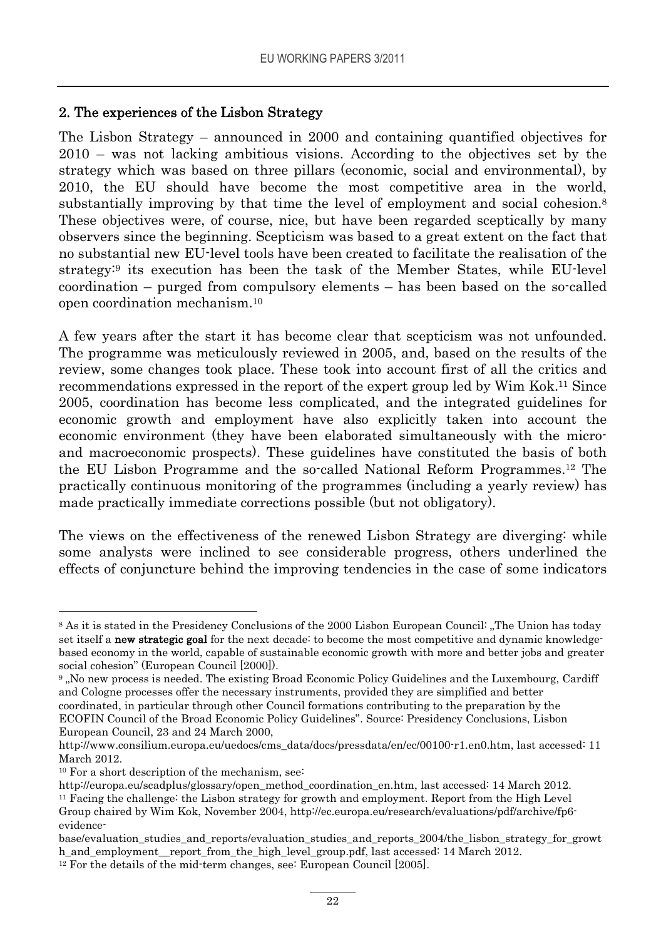### 2. The experiences of the Lisbon Strategy

The Lisbon Strategy – announced in 2000 and containing quantified objectives for 2010 – was not lacking ambitious visions. According to the objectives set by the strategy which was based on three pillars (economic, social and environmental), by 2010, the EU should have become the most competitive area in the world, substantially improving by that time the level of employment and social cohesion.<sup>8</sup> These objectives were, of course, nice, but have been regarded sceptically by many observers since the beginning. Scepticism was based to a great extent on the fact that no substantial new EU-level tools have been created to facilitate the realisation of the strategy:9 its execution has been the task of the Member States, while EU-level coordination – purged from compulsory elements – has been based on the so-called open coordination mechanism.10

A few years after the start it has become clear that scepticism was not unfounded. The programme was meticulously reviewed in 2005, and, based on the results of the review, some changes took place. These took into account first of all the critics and recommendations expressed in the report of the expert group led by Wim Kok.11 Since 2005, coordination has become less complicated, and the integrated guidelines for economic growth and employment have also explicitly taken into account the economic environment (they have been elaborated simultaneously with the microand macroeconomic prospects). These guidelines have constituted the basis of both the EU Lisbon Programme and the so-called National Reform Programmes.12 The practically continuous monitoring of the programmes (including a yearly review) has made practically immediate corrections possible (but not obligatory).

The views on the effectiveness of the renewed Lisbon Strategy are diverging: while some analysts were inclined to see considerable progress, others underlined the effects of conjuncture behind the improving tendencies in the case of some indicators

<sup>9</sup>, No new process is needed. The existing Broad Economic Policy Guidelines and the Luxembourg, Cardiff and Cologne processes offer the necessary instruments, provided they are simplified and better coordinated, in particular through other Council formations contributing to the preparation by the

<sup>8</sup> As it is stated in the Presidency Conclusions of the 2000 Lisbon European Council: "The Union has today set itself a **new strategic goal** for the next decade: to become the most competitive and dynamic knowledgebased economy in the world, capable of sustainable economic growth with more and better jobs and greater social cohesion" (European Council [2000]).

ECOFIN Council of the Broad Economic Policy Guidelines". Source: Presidency Conclusions, Lisbon European Council, 23 and 24 March 2000,

http://www.consilium.europa.eu/uedocs/cms\_data/docs/pressdata/en/ec/00100-r1.en0.htm, last accessed: 11 March 2012.

<sup>&</sup>lt;sup>10</sup> For a short description of the mechanism, see:

http://europa.eu/scadplus/glossary/open\_method\_coordination\_en.htm, last accessed: 14 March 2012. 11 Facing the challenge: the Lisbon strategy for growth and employment. Report from the High Level Group chaired by Wim Kok, November 2004, http://ec.europa.eu/research/evaluations/pdf/archive/fp6 evidence-

base/evaluation\_studies\_and\_reports/evaluation\_studies\_and\_reports\_2004/the\_lisbon\_strategy\_for\_growt h\_and\_employment\_\_report\_from\_the\_high\_level\_group.pdf, last accessed: 14 March 2012. 12 For the details of the mid-term changes, see: European Council [2005].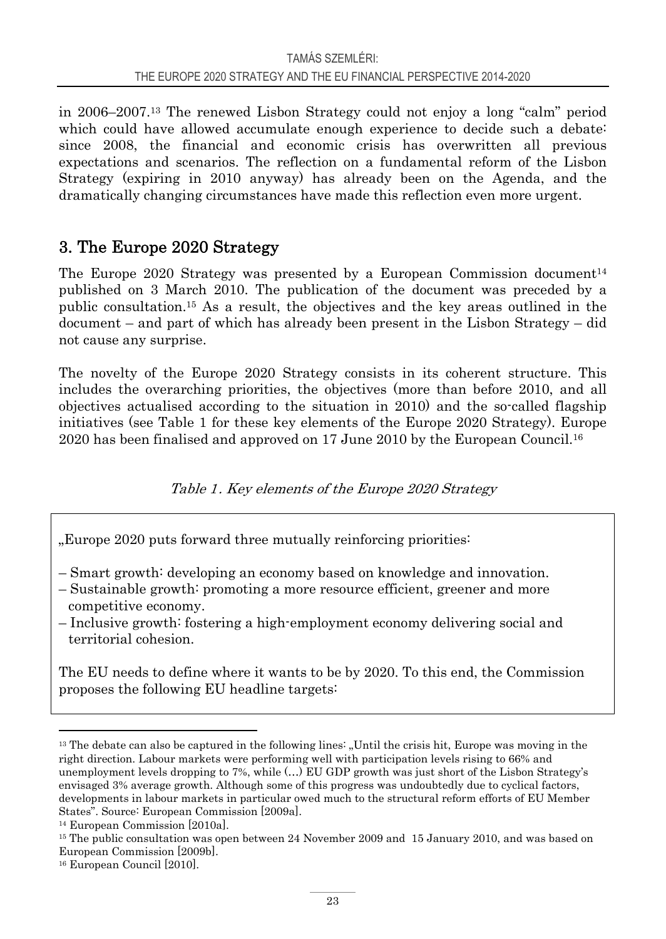in 2006–2007.13 The renewed Lisbon Strategy could not enjoy a long "calm" period which could have allowed accumulate enough experience to decide such a debate: since 2008, the financial and economic crisis has overwritten all previous expectations and scenarios. The reflection on a fundamental reform of the Lisbon Strategy (expiring in 2010 anyway) has already been on the Agenda, and the dramatically changing circumstances have made this reflection even more urgent.

### 3. The Europe 2020 Strategy

The Europe 2020 Strategy was presented by a European Commission document<sup>14</sup> published on 3 March 2010. The publication of the document was preceded by a public consultation.15 As a result, the objectives and the key areas outlined in the document – and part of which has already been present in the Lisbon Strategy – did not cause any surprise.

The novelty of the Europe 2020 Strategy consists in its coherent structure. This includes the overarching priorities, the objectives (more than before 2010, and all objectives actualised according to the situation in 2010) and the so-called flagship initiatives (see Table 1 for these key elements of the Europe 2020 Strategy). Europe 2020 has been finalised and approved on 17 June 2010 by the European Council.16

Table 1. Key elements of the Europe 2020 Strategy

"Europe 2020 puts forward three mutually reinforcing priorities.

- Smart growth: developing an economy based on knowledge and innovation.
- Sustainable growth: promoting a more resource efficient, greener and more competitive economy.
- Inclusive growth: fostering a high-employment economy delivering social and territorial cohesion.

The EU needs to define where it wants to be by 2020. To this end, the Commission proposes the following EU headline targets:

<sup>&</sup>lt;sup>13</sup> The debate can also be captured in the following lines: "Until the crisis hit, Europe was moving in the right direction. Labour markets were performing well with participation levels rising to 66% and unemployment levels dropping to 7%, while (…) EU GDP growth was just short of the Lisbon Strategy's envisaged 3% average growth. Although some of this progress was undoubtedly due to cyclical factors, developments in labour markets in particular owed much to the structural reform efforts of EU Member States". Source: European Commission [2009a].

<sup>14</sup> European Commission [2010a].

<sup>15</sup> The public consultation was open between 24 November 2009 and 15 January 2010, and was based on European Commission [2009b].

<sup>16</sup> European Council [2010].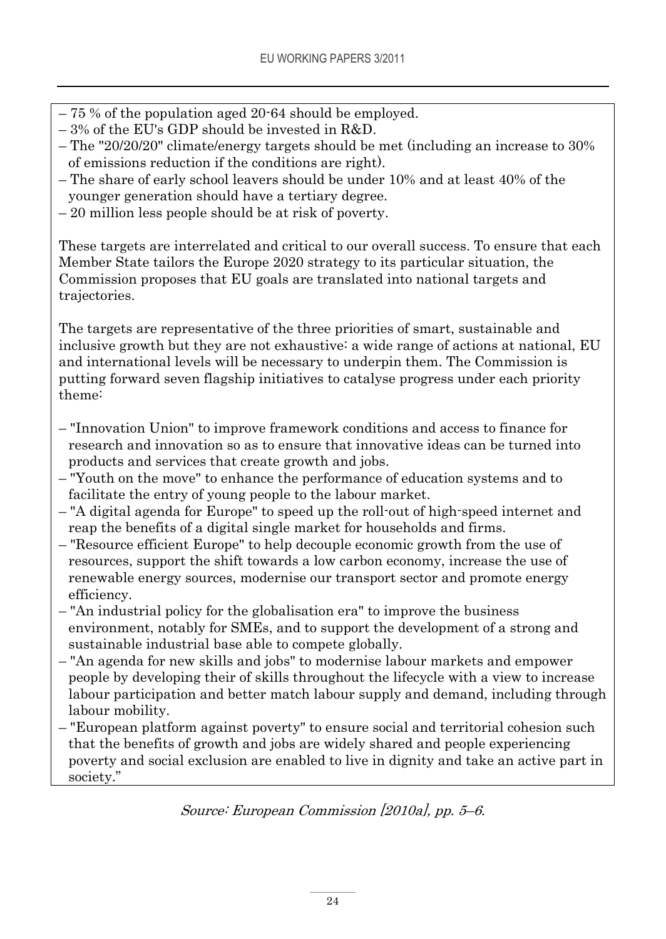- 75 % of the population aged 20-64 should be employed.
- 3% of the EU's GDP should be invested in R&D.
- The "20/20/20" climate/energy targets should be met (including an increase to 30% of emissions reduction if the conditions are right).
- The share of early school leavers should be under 10% and at least 40% of the younger generation should have a tertiary degree.
- 20 million less people should be at risk of poverty.

These targets are interrelated and critical to our overall success. To ensure that each Member State tailors the Europe 2020 strategy to its particular situation, the Commission proposes that EU goals are translated into national targets and trajectories.

The targets are representative of the three priorities of smart, sustainable and inclusive growth but they are not exhaustive: a wide range of actions at national, EU and international levels will be necessary to underpin them. The Commission is putting forward seven flagship initiatives to catalyse progress under each priority theme:

- "Innovation Union" to improve framework conditions and access to finance for research and innovation so as to ensure that innovative ideas can be turned into products and services that create growth and jobs.
- "Youth on the move" to enhance the performance of education systems and to facilitate the entry of young people to the labour market.
- "A digital agenda for Europe" to speed up the roll-out of high-speed internet and reap the benefits of a digital single market for households and firms.
- "Resource efficient Europe" to help decouple economic growth from the use of resources, support the shift towards a low carbon economy, increase the use of renewable energy sources, modernise our transport sector and promote energy efficiency.
- "An industrial policy for the globalisation era" to improve the business environment, notably for SMEs, and to support the development of a strong and sustainable industrial base able to compete globally.
- "An agenda for new skills and jobs" to modernise labour markets and empower people by developing their of skills throughout the lifecycle with a view to increase labour participation and better match labour supply and demand, including through labour mobility.
- "European platform against poverty" to ensure social and territorial cohesion such that the benefits of growth and jobs are widely shared and people experiencing poverty and social exclusion are enabled to live in dignity and take an active part in society."

Source: European Commission [2010a], pp. 5–6.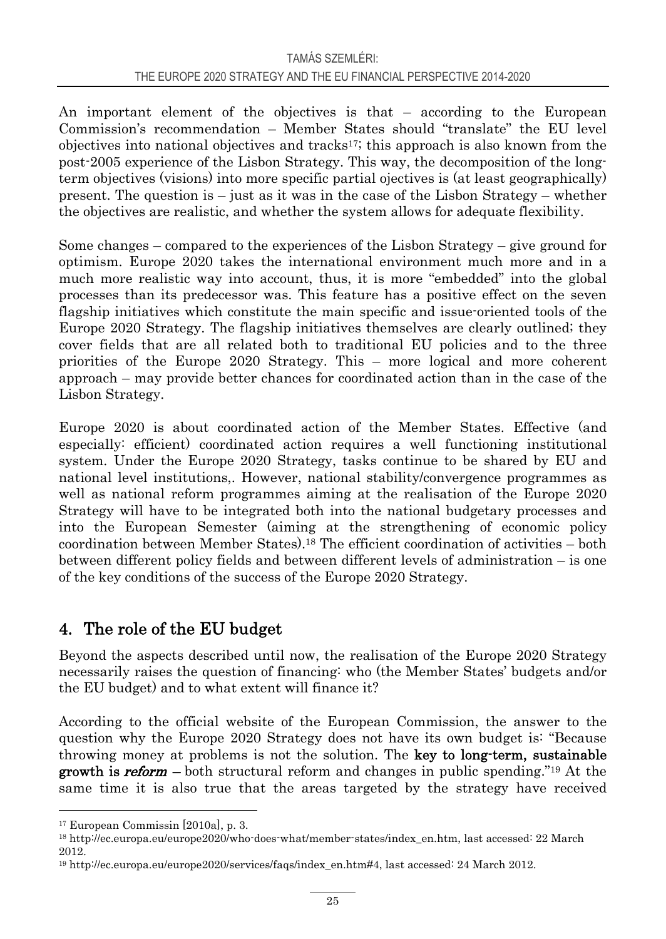An important element of the objectives is that – according to the European Commission's recommendation – Member States should "translate" the EU level objectives into national objectives and tracks<sup>17</sup>; this approach is also known from the post-2005 experience of the Lisbon Strategy. This way, the decomposition of the longterm objectives (visions) into more specific partial ojectives is (at least geographically) present. The question is – just as it was in the case of the Lisbon Strategy – whether the objectives are realistic, and whether the system allows for adequate flexibility.

Some changes – compared to the experiences of the Lisbon Strategy – give ground for optimism. Europe 2020 takes the international environment much more and in a much more realistic way into account, thus, it is more "embedded" into the global processes than its predecessor was. This feature has a positive effect on the seven flagship initiatives which constitute the main specific and issue-oriented tools of the Europe 2020 Strategy. The flagship initiatives themselves are clearly outlined; they cover fields that are all related both to traditional EU policies and to the three priorities of the Europe 2020 Strategy. This – more logical and more coherent approach – may provide better chances for coordinated action than in the case of the Lisbon Strategy.

Europe 2020 is about coordinated action of the Member States. Effective (and especially: efficient) coordinated action requires a well functioning institutional system. Under the Europe 2020 Strategy, tasks continue to be shared by EU and national level institutions,. However, national stability/convergence programmes as well as national reform programmes aiming at the realisation of the Europe 2020 Strategy will have to be integrated both into the national budgetary processes and into the European Semester (aiming at the strengthening of economic policy coordination between Member States).18 The efficient coordination of activities – both between different policy fields and between different levels of administration – is one of the key conditions of the success of the Europe 2020 Strategy.

### 4. The role of the EU budget

Beyond the aspects described until now, the realisation of the Europe 2020 Strategy necessarily raises the question of financing: who (the Member States' budgets and/or the EU budget) and to what extent will finance it?

According to the official website of the European Commission, the answer to the question why the Europe 2020 Strategy does not have its own budget is: "Because throwing money at problems is not the solution. The key to long-term, sustainable **growth is reform** – both structural reform and changes in public spending.<sup>"19</sup> At the same time it is also true that the areas targeted by the strategy have received

<sup>17</sup> European Commissin [2010a], p. 3.

<sup>18</sup> http://ec.europa.eu/europe2020/who-does-what/member-states/index\_en.htm, last accessed: 22 March 2012.

<sup>19</sup> http://ec.europa.eu/europe2020/services/faqs/index\_en.htm#4, last accessed: 24 March 2012.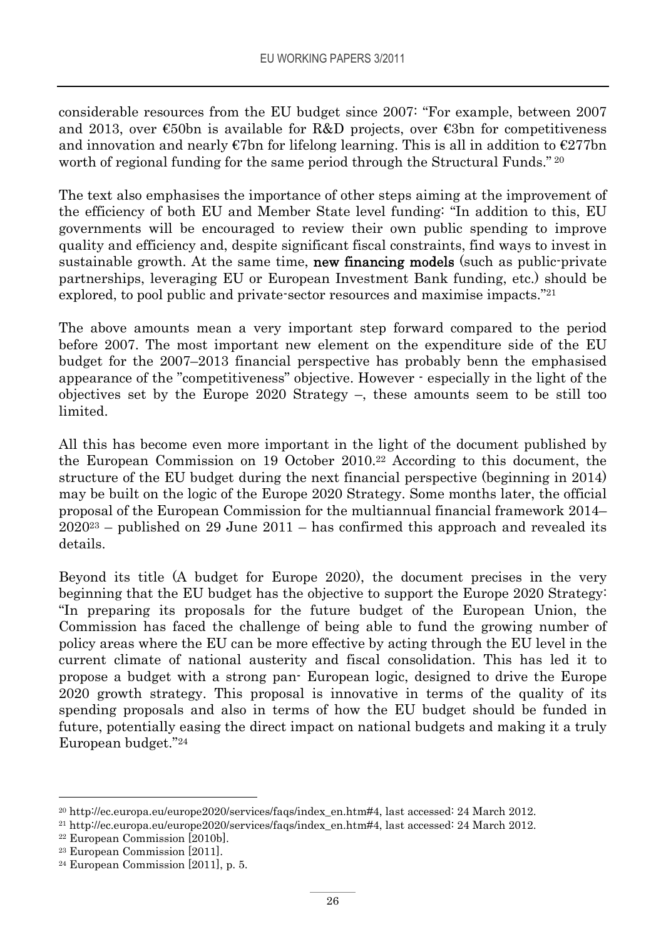considerable resources from the EU budget since 2007: "For example, between 2007 and 2013, over  $\epsilon$ 50bn is available for R&D projects, over  $\epsilon$ 3bn for competitiveness and innovation and nearly  $\epsilon$ 7bn for lifelong learning. This is all in addition to  $\epsilon$ 277bn worth of regional funding for the same period through the Structural Funds." 20

The text also emphasises the importance of other steps aiming at the improvement of the efficiency of both EU and Member State level funding: "In addition to this, EU governments will be encouraged to review their own public spending to improve quality and efficiency and, despite significant fiscal constraints, find ways to invest in sustainable growth. At the same time, **new financing models** (such as public-private partnerships, leveraging EU or European Investment Bank funding, etc.) should be explored, to pool public and private-sector resources and maximise impacts."21

The above amounts mean a very important step forward compared to the period before 2007. The most important new element on the expenditure side of the EU budget for the 2007–2013 financial perspective has probably benn the emphasised appearance of the "competitiveness" objective. However - especially in the light of the objectives set by the Europe 2020 Strategy –, these amounts seem to be still too limited.

All this has become even more important in the light of the document published by the European Commission on 19 October 2010.22 According to this document, the structure of the EU budget during the next financial perspective (beginning in 2014) may be built on the logic of the Europe 2020 Strategy. Some months later, the official proposal of the European Commission for the multiannual financial framework 2014–  $2020^{23}$  – published on 29 June 2011 – has confirmed this approach and revealed its details.

Beyond its title (A budget for Europe 2020), the document precises in the very beginning that the EU budget has the objective to support the Europe 2020 Strategy: "In preparing its proposals for the future budget of the European Union, the Commission has faced the challenge of being able to fund the growing number of policy areas where the EU can be more effective by acting through the EU level in the current climate of national austerity and fiscal consolidation. This has led it to propose a budget with a strong pan- European logic, designed to drive the Europe 2020 growth strategy. This proposal is innovative in terms of the quality of its spending proposals and also in terms of how the EU budget should be funded in future, potentially easing the direct impact on national budgets and making it a truly European budget."24

<sup>&</sup>lt;sup>20</sup> http://ec.europa.eu/europe2020/services/faqs/index\_en.htm#4, last accessed: 24 March 2012.<br><sup>21</sup> http://ec.europa.eu/europe2020/services/faqs/index\_en.htm#4, last accessed: 24 March 2012.<br><sup>22</sup> European Commission [201

<sup>23</sup> European Commission [2011].

 $24$  European Commission [2011], p. 5.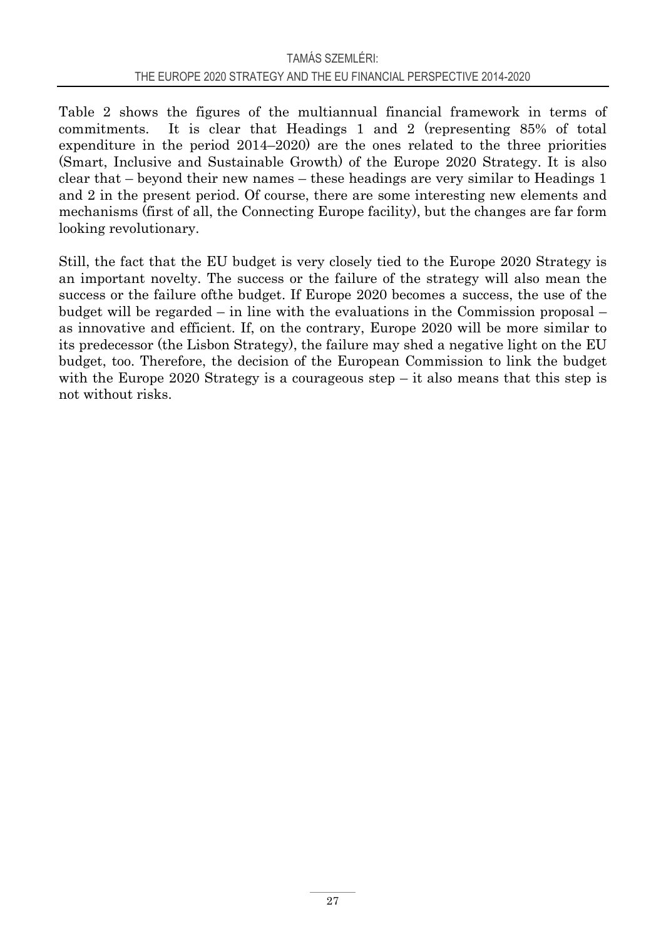Table 2 shows the figures of the multiannual financial framework in terms of commitments. It is clear that Headings 1 and 2 (representing 85% of total expenditure in the period 2014–2020) are the ones related to the three priorities (Smart, Inclusive and Sustainable Growth) of the Europe 2020 Strategy. It is also clear that – beyond their new names – these headings are very similar to Headings 1 and 2 in the present period. Of course, there are some interesting new elements and mechanisms (first of all, the Connecting Europe facility), but the changes are far form looking revolutionary.

Still, the fact that the EU budget is very closely tied to the Europe 2020 Strategy is an important novelty. The success or the failure of the strategy will also mean the success or the failure ofthe budget. If Europe 2020 becomes a success, the use of the budget will be regarded – in line with the evaluations in the Commission proposal – as innovative and efficient. If, on the contrary, Europe 2020 will be more similar to its predecessor (the Lisbon Strategy), the failure may shed a negative light on the EU budget, too. Therefore, the decision of the European Commission to link the budget with the Europe 2020 Strategy is a courageous step  $-$  it also means that this step is not without risks.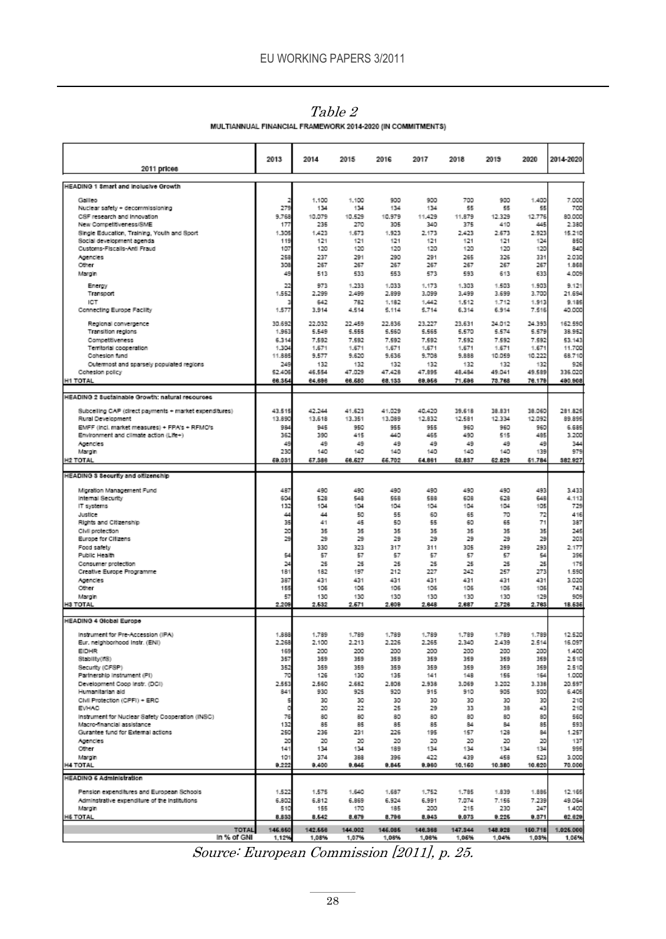| 2011 prices                                                                                | 2013          | 2014          | 2015           | 2016           | 2017           | 2018           | 2019           | 2020           | 2014-2020        |
|--------------------------------------------------------------------------------------------|---------------|---------------|----------------|----------------|----------------|----------------|----------------|----------------|------------------|
| HEADING 1 Smart and inclusive Growth                                                       |               |               |                |                |                |                |                |                |                  |
| Galleo                                                                                     |               | 1.100         | 1.100          | 900            | 900            | 700            | 900            | 1,400          | 7.000            |
| Nuclear safety + decommissioning                                                           | 279           | 134           | 134            | 134            | 134            | 55             | 55             | 55             | 700              |
| CSF research and innovation                                                                | 9.768         | 10.079        | 10.529         | 10.979         | 11.429         | 11,879         | 12.329         | 12.776         | 80,000           |
| New Competitiveness/SME<br>Single Education, Training, Youth and Sport                     | 17<br>1.309   | 235<br>1,423  | 270<br>1.673   | 305<br>1.923   | 340<br>2.173   | 375<br>2.423   | 410<br>2.673   | 445<br>2.923   | 2.380<br>15.210  |
| Social development agenda                                                                  | 119           | 121           | 121            | 121            | 121            | 121            | 121            | 124            | 850              |
| Customs-Fiscalis-Anti Fraud                                                                | 107           | 120           | 120            | 120            | 120            | 120            | 120            | 120            | 840              |
| Agencies                                                                                   | 258           | 237           | 291            | 290            | 291            | 265            | 326            | 331            | 2.030            |
| Other<br>Margin                                                                            | 308<br>49     | 267<br>513    | 267<br>533     | 267<br>553     | 267<br>573     | 267<br>593     | 267<br>613     | 267<br>633     | 1.868<br>4.009   |
|                                                                                            |               |               |                |                |                |                |                |                |                  |
| Energy<br>Transport                                                                        | 22<br>1.552   | 973<br>2.299  | 1.233<br>2,499 | 1.033<br>2,899 | 1.173<br>3.099 | 1.303<br>3.499 | 1.503<br>3.699 | 1.903<br>3.700 | 9.121<br>21.694  |
| ICT                                                                                        |               | 642           | 782            | 1.182          | 1.442          | 1.512          | 1.712          | 1.913          | 9.185            |
| Connecting Europe Facility                                                                 | 1.577         | 3.914         | 4.514          | 5.114          | 5.714          | 6.314          | 6.914          | 7.516          | 40.000           |
| Regional convergence                                                                       | 30.692        | 22.032        | 22,459         | 22,836         | 23.227         | 23.631         | 24.012         | 24.393         | 162.590          |
| Transition regions                                                                         | 1,963         | 5.549         | 5.555          | 5.560          | 5.565          | 5.570          | 5.574          | 5.579          | 38.952           |
| Competitiveness                                                                            | 6.314         | 7.592         | 7.592          | 7.592          | 7.592          | 7.592          | 7.592          | 7.592          | 53.143           |
| Territorial cooperation                                                                    | 1.304         | 1.671         | 1.671          | 1.671          | 1.671          | 1.671          | 1.671          | 1.671          | 11.700           |
| Cohesion fund                                                                              | 11.889        | 9.577         | 9.620          | 9.636          | 9.708          | 9,888          | 10.059         | 10.222         | 68.710           |
| Outermost and sparsely populated regions<br>Cohesion policy                                | 249<br>52.406 | 132<br>46.554 | 132<br>47.029  | 132<br>47.428  | 132<br>47.895  | 132<br>48.484  | 132<br>49.041  | 132<br>49.589  | 926<br>336,020   |
| H1 TOTAL                                                                                   | 66.354        | 64.696        | 66.680         | 68.133         | 69.956         | 71,696         | 73.768         | 78.179         | 490.908          |
|                                                                                            |               |               |                |                |                |                |                |                |                  |
| <b>HEADING 2 Sustainable Growth: natural resources</b>                                     |               |               |                |                |                |                |                |                |                  |
| Subcelling CAP (direct payments + market expenditures)                                     | 43.515        | 42.244        | 41.623         | 41.029         | 40.420         | 39.618         | 38.831         | 38.060         | 281,825          |
| Rural Development                                                                          | 13,890        | 13.618        | 13.351         | 13.089         | 12.832         | 12.581         | 12.334         | 12.092         | 89.899           |
| EMFF (incl. market measures) + FPA's + RFMO's<br>Environment and climate action (Life+)    | 984<br>362    | 945<br>390    | 950<br>415     | 955<br>440     | 955<br>465     | 960<br>490     | 960<br>515     | 960<br>485     | 6.685<br>3,200   |
| Agencies                                                                                   | 45            | 49            | 49             | 49             | 49             | 49             | 49             | 49             | 344              |
| Margin                                                                                     | 230           | 140           | 140            | 140            | 140            | 140            | 140            | 139            | 979              |
| H2 TOTAL                                                                                   | 69.031        | 67,388        | 68.627         | 66.702         | 64.861         | 63.837         | 62.829         | 61.784         | 382.927          |
| HEADING 3 Security and offizenchip                                                         |               |               |                |                |                |                |                |                |                  |
|                                                                                            |               |               |                |                |                |                |                |                |                  |
| Migration Management Fund<br>Internal Security                                             | 487<br>604    | 490<br>528    | 490<br>548     | 490<br>568     | 490<br>588     | 490<br>608     | 490<br>628     | 493<br>649     | 3,433            |
| IT systems                                                                                 | 132           | 104           | 104            | 104            | 104            | 104            | 104            | 105            | 4.113<br>729     |
| Justice                                                                                    | 44            | 44            | 50             | 55             | 60             | 65             | 70             | 72             | 416              |
| Rights and Citizenship                                                                     | 35            | 41            | 45             | 50             | 55             | 60             | 65             | 71             | 387              |
| Civil protection                                                                           | 20<br>29      | 35            | 35             | 35             | 35             | 35             | 35             | 35             | 245              |
| Europe for Citizens<br>Food safety                                                         |               | 79<br>330     | 29<br>323      | 29<br>317      | 29<br>311      | 29<br>305      | 29<br>299      | 29<br>293      | 203<br>2.177     |
| Public Health                                                                              | 54            | 57            | 57             | 57             | 57             | 57             | 57             | 54             | 396              |
| Consumer protection                                                                        | 24            | 25            | 25             | 25             | 25             | 25             | 25             | 25             | 175              |
| Creative Europe Programme                                                                  | 181           | 182           | 197            | 212            | 227            | 242            | 257            | 273            | 1.590            |
| Agencies                                                                                   | 387           | 431           | 431            | 431            | 431            | 431            | 431            | 431            | 3.020            |
| Other<br>Margin                                                                            | 155<br>57     | 105<br>130    | 105<br>130     | 106<br>130     | 105<br>130     | 105<br>130     | 105<br>130     | 105<br>129     | 743<br>909       |
| H3 TOTAL                                                                                   | 2.209         | 2.632         | 2.671          | 2.609          | 2,848          | 2.687          | 2.728          | 2.783          | 18.536           |
|                                                                                            |               |               |                |                |                |                |                |                |                  |
| <b>HEADING 4 Global Europe</b>                                                             |               |               |                |                |                |                |                |                |                  |
| Instrument for Pre-Accession (IPA)                                                         | 1,888         | 1.789         | 1.789          | 1.789          | 1.789          | 1.789          | 1.789          | 1.789          | 12.520           |
| Eur, neighborhood instr. (ENI)                                                             | 2.268         | 2.100         | 2.213          | 2.226          | 2,265          | 2,340          | 2.439          | 2.514          | 16.097           |
| EIDHR<br>Stability/ES)                                                                     | 169<br>357    | 200<br>359    | 200<br>359     | 200<br>359     | 200<br>359     | 200<br>359     | 200<br>359     | 200<br>359     | 1,400<br>2.510   |
| Security (CFSP)                                                                            | 352           | 359           | 359            | 359            | 359            | 359            | 359            | 359            | 2.510            |
| Partnership instrument (PI)                                                                | 70            | 126           | 130            | 135            | 141            | 148            | 155            | 164            | 1.000            |
| Development Coop Instr. (DCI)                                                              | 2.553         | 2.560         | 2.682          | 2,808          | 2.938          | 3.069          | 3.202          | 3.338          | 20.597           |
| Humanitarian aid                                                                           | 841           | 930           | 925            | 920            | 915            | 910            | 905            | 900            | 6.405            |
| Civil Protection (CPFI) + ERC<br><b>EVHAC</b>                                              | Ş<br>¢        | 30<br>20      | 30<br>22       | 30<br>25       | 30<br>29       | 30<br>33       | 30<br>38       | 30<br>43       | 210<br>210       |
| Instrument for Nuclear Safety Cooperation (INSC)                                           | 76            | 80            | 30             | 80             | 80             | 80             | 80             | 80             | 560              |
| Macro-financial assistance                                                                 | 132           | 85            | 85             | 85             | 85             | 84             | R4             | 85             | 593              |
| Gurantee fund for External actions                                                         | 250           | 236           | 231            | 226            | 195            | 157            | 128            | 84             | 1.257            |
| Agencies<br>Other                                                                          | 20            | 20            | 20             | 20             | 20             | 20             | 20             | 20             | 137              |
| Margin                                                                                     | 141<br>101    | 134<br>374    | 134<br>388     | 189<br>396     | 134<br>422     | 134<br>439     | 134<br>458     | 134<br>523     | 999<br>3,000     |
| <b>H4 TOTAL</b>                                                                            | 8.222         | 8,400         | 8.645          | 8.845          | 9,960          | 10.160         | 10.380         | 10.620         | 70.000           |
| <b>HEADING 6 Administration</b>                                                            |               |               |                |                |                |                |                |                |                  |
|                                                                                            | 1.522         | 1.575         | 1,640          | 1,687          | 1,752          | 1,785          | 1.839          | 1.886          |                  |
| Pension expenditures and European Schools<br>Adminstrative expenditure of the institutions | 6,802         | 6,812         | 6.869          | 6.924          | 6.991          | 7.074          | 7.156          | 7.239          | 12.165<br>49.064 |
| Margin                                                                                     | 510           | 155           | 170            | 185            | 200            | 215            | 230            | 247            | 1,400            |
| H& TOTAL                                                                                   | 8.833         | 8.542         | 8.679          | 8.796          | 8.943          | 8.073          | 9.225          | 0.371          | 62.629           |
| TOTAL                                                                                      | 146,850       | 142,558       | 144.002        | 145,085        | 148,368        | 147,344        | 148.928        | 150.718        | 1.025.000        |
| In % of GNI                                                                                | 1,12%         | 1,08%         | 1,07%          | 1,08%          | 1,08%          | 1,06%          | 1,04%          | 1,039          | 1,06%            |
| Source: European Commission [2011], p. 25.                                                 |               |               |                |                |                |                |                |                |                  |

Table 2 MULTIANNUAL FINANCIAL FRAMEWORK 2014-2020 (IN COMMITMENTS)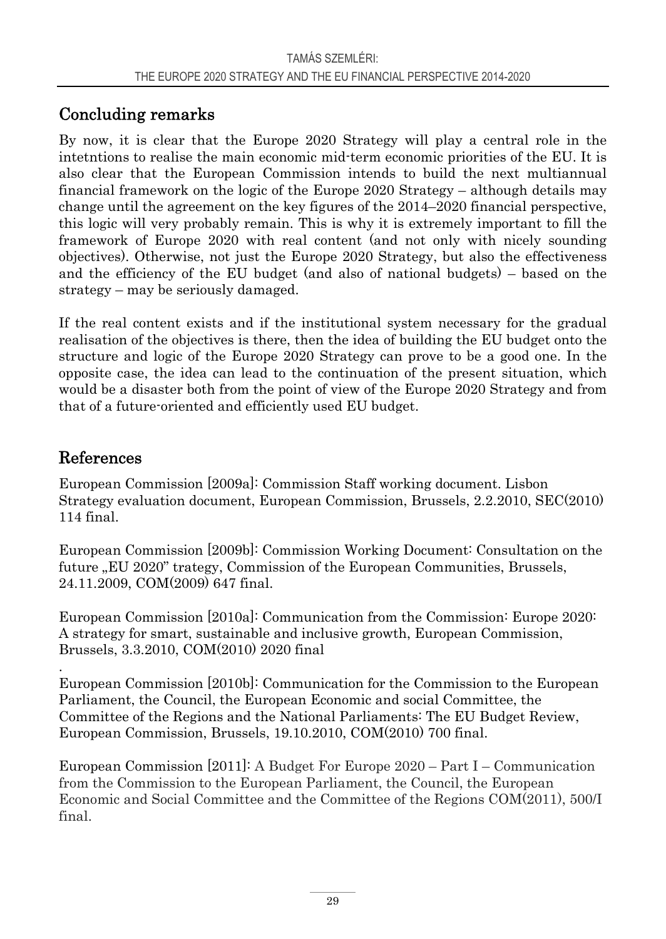## Concluding remarks

By now, it is clear that the Europe 2020 Strategy will play a central role in the intetntions to realise the main economic mid-term economic priorities of the EU. It is also clear that the European Commission intends to build the next multiannual financial framework on the logic of the Europe 2020 Strategy – although details may change until the agreement on the key figures of the 2014–2020 financial perspective, this logic will very probably remain. This is why it is extremely important to fill the framework of Europe 2020 with real content (and not only with nicely sounding objectives). Otherwise, not just the Europe 2020 Strategy, but also the effectiveness and the efficiency of the EU budget (and also of national budgets) – based on the strategy – may be seriously damaged.

If the real content exists and if the institutional system necessary for the gradual realisation of the objectives is there, then the idea of building the EU budget onto the structure and logic of the Europe 2020 Strategy can prove to be a good one. In the opposite case, the idea can lead to the continuation of the present situation, which would be a disaster both from the point of view of the Europe 2020 Strategy and from that of a future-oriented and efficiently used EU budget.

### References

.

European Commission [2009a]: Commission Staff working document. Lisbon Strategy evaluation document, European Commission, Brussels, 2.2.2010, SEC(2010) 114 final.

European Commission [2009b]: Commission Working Document: Consultation on the future "EU 2020" trategy, Commission of the European Communities, Brussels, 24.11.2009, COM(2009) 647 final.

European Commission [2010a]: Communication from the Commission: Europe 2020: A strategy for smart, sustainable and inclusive growth, European Commission, Brussels, 3.3.2010, COM(2010) 2020 final

European Commission [2010b]: Communication for the Commission to the European Parliament, the Council, the European Economic and social Committee, the Committee of the Regions and the National Parliaments: The EU Budget Review, European Commission, Brussels, 19.10.2010, COM(2010) 700 final.

European Commission [2011]: A Budget For Europe 2020 – Part I – Communication from the Commission to the European Parliament, the Council, the European Economic and Social Committee and the Committee of the Regions COM(2011), 500/I final.